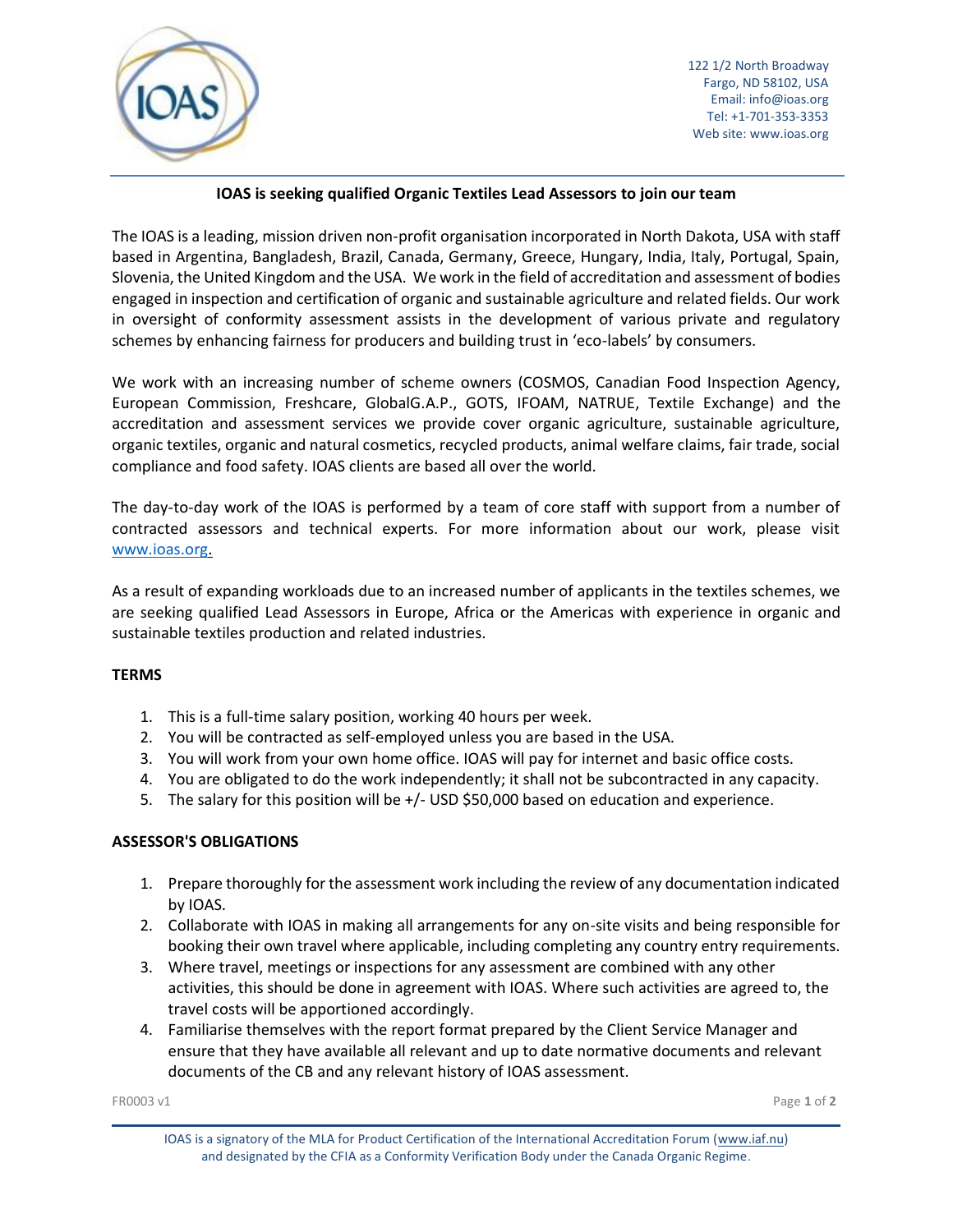

# **IOAS is seeking qualified Organic Textiles Lead Assessors to join our team**

The IOAS is a leading, mission driven non-profit organisation incorporated in North Dakota, USA with staff based in Argentina, Bangladesh, Brazil, Canada, Germany, Greece, Hungary, India, Italy, Portugal, Spain, Slovenia, the United Kingdom and the USA. We work in the field of accreditation and assessment of bodies engaged in inspection and certification of organic and sustainable agriculture and related fields. Our work in oversight of conformity assessment assists in the development of various private and regulatory schemes by enhancing fairness for producers and building trust in 'eco-labels' by consumers.

We work with an increasing number of scheme owners (COSMOS, Canadian Food Inspection Agency, European Commission, Freshcare, GlobalG.A.P., GOTS, IFOAM, NATRUE, Textile Exchange) and the accreditation and assessment services we provide cover organic agriculture, sustainable agriculture, organic textiles, organic and natural cosmetics, recycled products, animal welfare claims, fair trade, social compliance and food safety. IOAS clients are based all over the world.

The day-to-day work of the IOAS is performed by a team of core staff with support from a number of contracted assessors and technical experts. For more information about our work, please visit [www.ioas.org.](http://www.ioas.org/)

As a result of expanding workloads due to an increased number of applicants in the textiles schemes, we are seeking qualified Lead Assessors in Europe, Africa or the Americas with experience in organic and sustainable textiles production and related industries.

## **TERMS**

- 1. This is a full-time salary position, working 40 hours per week.
- 2. You will be contracted as self-employed unless you are based in the USA.
- 3. You will work from your own home office. IOAS will pay for internet and basic office costs.
- 4. You are obligated to do the work independently; it shall not be subcontracted in any capacity.
- 5. The salary for this position will be +/- USD \$50,000 based on education and experience.

## **ASSESSOR'S OBLIGATIONS**

- 1. Prepare thoroughly for the assessment work including the review of any documentation indicated by IOAS.
- 2. Collaborate with IOAS in making all arrangements for any on-site visits and being responsible for booking their own travel where applicable, including completing any country entry requirements.
- 3. Where travel, meetings or inspections for any assessment are combined with any other activities, this should be done in agreement with IOAS. Where such activities are agreed to, the travel costs will be apportioned accordingly.
- 4. Familiarise themselves with the report format prepared by the Client Service Manager and ensure that they have available all relevant and up to date normative documents and relevant documents of the CB and any relevant history of IOAS assessment.

IOAS is a signatory of the MLA for Product Certification of the International Accreditation Forum [\(www.iaf.nu\)](http://www.iaf.nu/) and designated by the CFIA as a Conformity Verification Body under the Canada Organic Regime.